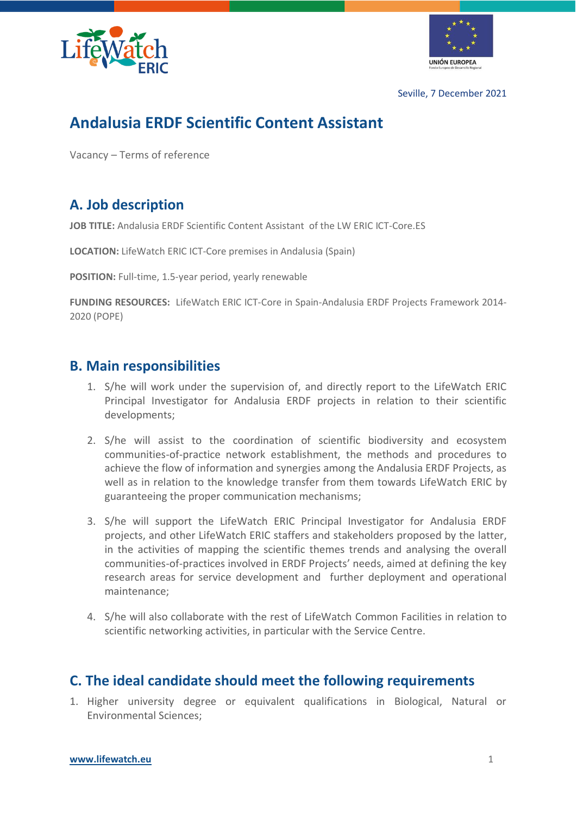



Seville, 7 December 2021

# **Andalusia ERDF Scientific Content Assistant**

Vacancy – Terms of reference

## **A. Job description**

**JOB TITLE:** Andalusia ERDF Scientific Content Assistant of the LW ERIC ICT-Core.ES

**LOCATION:** LifeWatch ERIC ICT-Core premises in Andalusia (Spain)

**POSITION:** Full-time, 1.5-year period, yearly renewable

**FUNDING RESOURCES:** LifeWatch ERIC ICT-Core in Spain-Andalusia ERDF Projects Framework 2014- 2020 (POPE)

#### **B. Main responsibilities**

- 1. S/he will work under the supervision of, and directly report to the LifeWatch ERIC Principal Investigator for Andalusia ERDF projects in relation to their scientific developments;
- 2. S/he will assist to the coordination of scientific biodiversity and ecosystem communities-of-practice network establishment, the methods and procedures to achieve the flow of information and synergies among the Andalusia ERDF Projects, as well as in relation to the knowledge transfer from them towards LifeWatch ERIC by guaranteeing the proper communication mechanisms;
- 3. S/he will support the LifeWatch ERIC Principal Investigator for Andalusia ERDF projects, and other LifeWatch ERIC staffers and stakeholders proposed by the latter, in the activities of mapping the scientific themes trends and analysing the overall communities-of-practices involved in ERDF Projects' needs, aimed at defining the key research areas for service development and further deployment and operational maintenance;
- 4. S/he will also collaborate with the rest of LifeWatch Common Facilities in relation to scientific networking activities, in particular with the Service Centre.

### **C. The ideal candidate should meet the following requirements**

1. Higher university degree or equivalent qualifications in Biological, Natural or Environmental Sciences;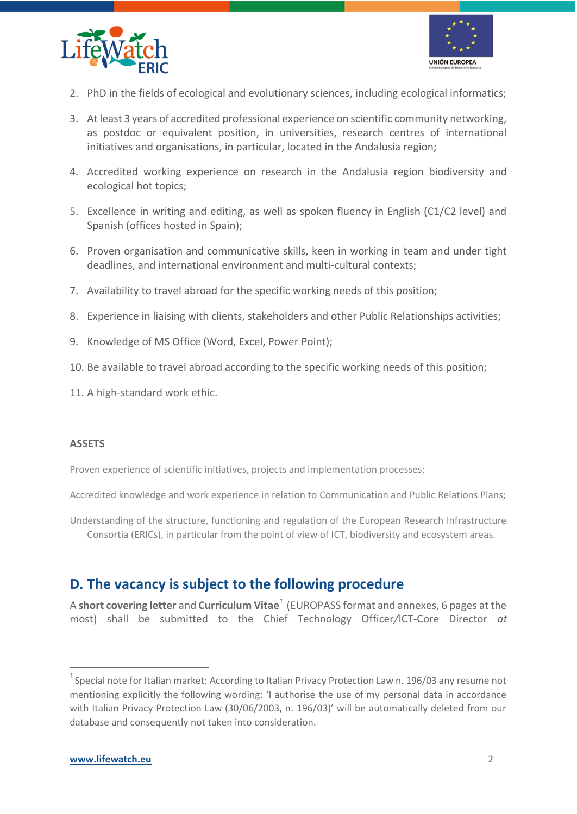



- 2. PhD in the fields of ecological and evolutionary sciences, including ecological informatics;
- 3. At least 3 years of accredited professional experience on scientific community networking, as postdoc or equivalent position, in universities, research centres of international initiatives and organisations, in particular, located in the Andalusia region;
- 4. Accredited working experience on research in the Andalusia region biodiversity and ecological hot topics;
- 5. Excellence in writing and editing, as well as spoken fluency in English (C1/C2 level) and Spanish (offices hosted in Spain);
- 6. Proven organisation and communicative skills, keen in working in team and under tight deadlines, and international environment and multi-cultural contexts;
- 7. Availability to travel abroad for the specific working needs of this position;
- 8. Experience in liaising with clients, stakeholders and other Public Relationships activities;
- 9. Knowledge of MS Office (Word, Excel, Power Point);
- 10. Be available to travel abroad according to the specific working needs of this position;
- 11. A high-standard work ethic.

#### **ASSETS**

Proven experience of scientific initiatives, projects and implementation processes;

Accredited knowledge and work experience in relation to Communication and Public Relations Plans;

Understanding of the structure, functioning and regulation of the European Research Infrastructure Consortia (ERICs), in particular from the point of view of ICT, biodiversity and ecosystem areas.

### **D. The vacancy is subject to the following procedure**

A **short covering letter** and **Curriculum Vitae***<sup>1</sup>* (EUROPASS format and annexes, 6 pages at the most) shall be submitted to the Chief Technology Officer*/*ICT*-*Core Director *at* 

 $1$ Special note for Italian market: According to Italian Privacy Protection Law n. 196/03 any resume not mentioning explicitly the following wording: 'I authorise the use of my personal data in accordance with Italian Privacy Protection Law (30/06/2003, n. 196/03)' will be automatically deleted from our database and consequently not taken into consideration.